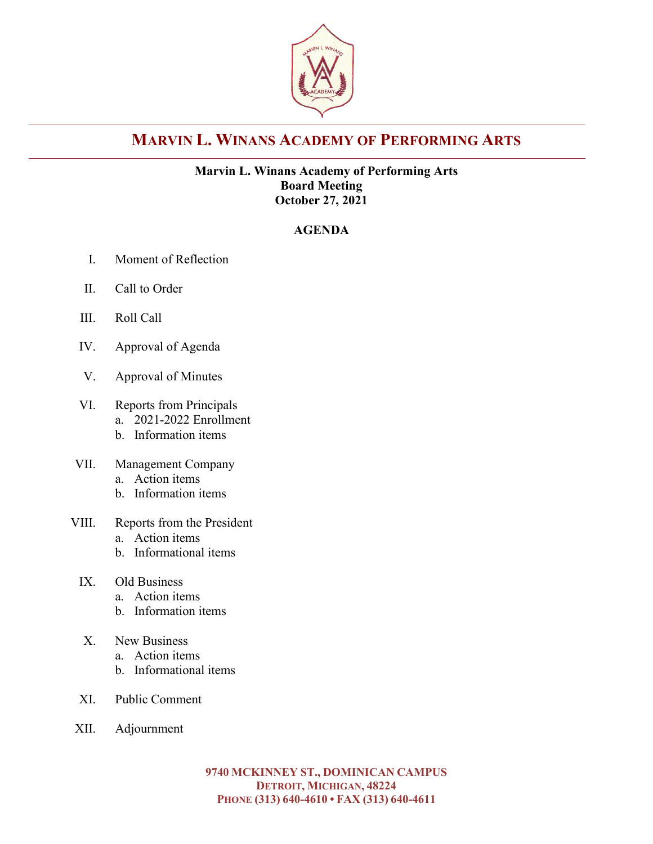

# **MARVIN L. WINANS ACADEMY OF PERFORMING ARTS**

#### **Marvin L. Winans Academy of Performing Arts Board Meeting October 27, 2021**

### **AGENDA**

- I. Moment of Reflection
- II. Call to Order
- III. Roll Call
- IV. Approval of Agenda
- V. Approval of Minutes
- VI. Reports from Principals
	- a. 2021-2022 Enrollment
	- b. Information items
- VII. Management Company
	- a. Action items
	- b. Information items
- VIII. Reports from the President
	- a. Action items
	- b. Informational items
	- IX. Old Business
		- a. Action items
		- b. Information items
	- X. New Business
		- a. Action items
		- b. Informational items
	- XI. Public Comment
- XII. Adjournment

**9740 MCKINNEY ST., DOMINICAN CAMPUS DETROIT, MICHIGAN, 48224 PHONE (313) 640-4610 • FAX (313) 640-4611**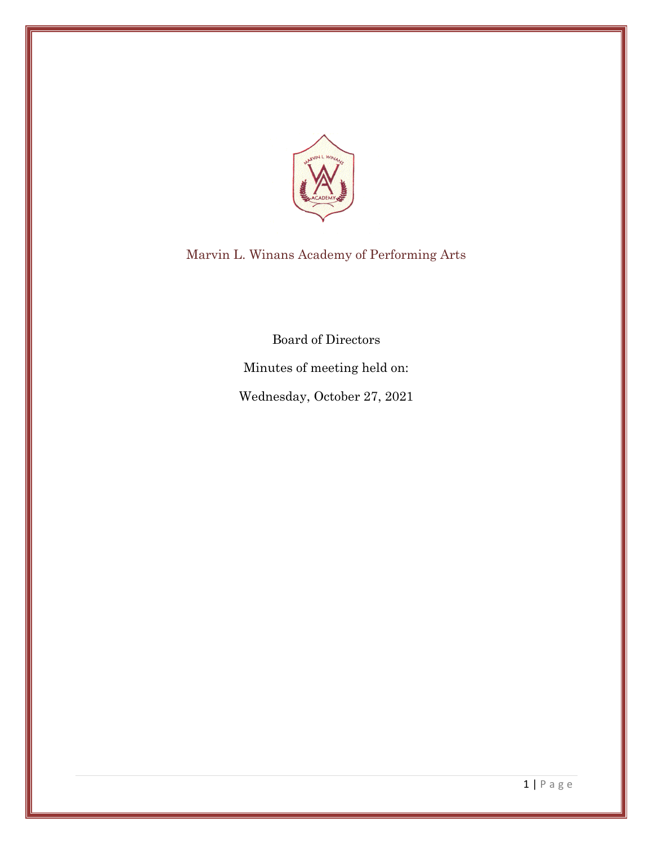

Marvin L. Winans Academy of Performing Arts

Board of Directors

Minutes of meeting held on:

Wednesday, October 27, 2021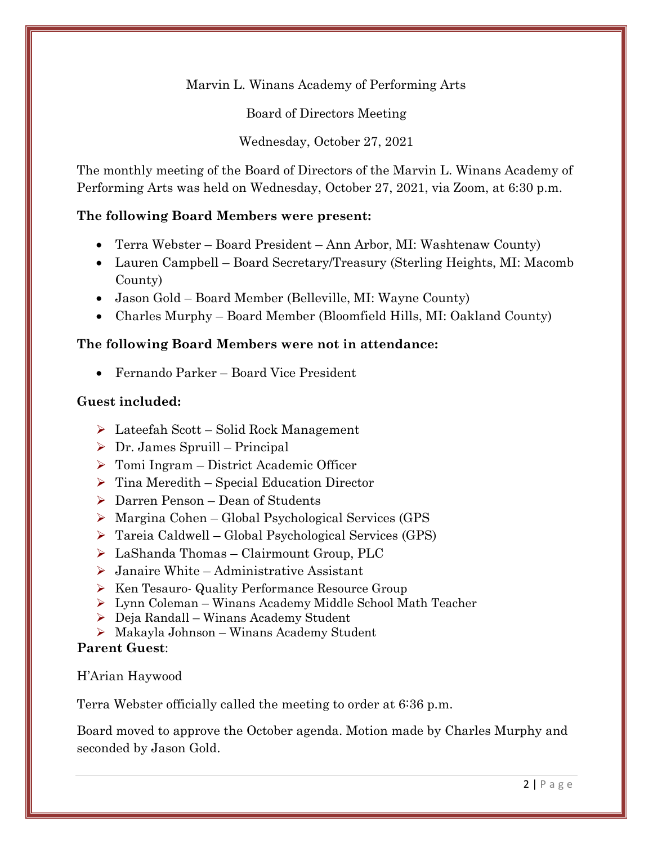Marvin L. Winans Academy of Performing Arts

Board of Directors Meeting

Wednesday, October 27, 2021

The monthly meeting of the Board of Directors of the Marvin L. Winans Academy of Performing Arts was held on Wednesday, October 27, 2021, via Zoom, at 6:30 p.m.

## **The following Board Members were present:**

- Terra Webster Board President Ann Arbor, MI: Washtenaw County)
- Lauren Campbell Board Secretary/Treasury (Sterling Heights, MI: Macomb County)
- Jason Gold Board Member (Belleville, MI: Wayne County)
- Charles Murphy Board Member (Bloomfield Hills, MI: Oakland County)

### **The following Board Members were not in attendance:**

• Fernando Parker – Board Vice President

#### **Guest included:**

- ➢ Lateefah Scott Solid Rock Management
- $\triangleright$  Dr. James Spruill Principal
- ➢ Tomi Ingram District Academic Officer
- ➢ Tina Meredith Special Education Director
- ➢ Darren Penson Dean of Students
- ➢ Margina Cohen Global Psychological Services (GPS
- ➢ Tareia Caldwell Global Psychological Services (GPS)
- ➢ LaShanda Thomas Clairmount Group, PLC
- ➢ Janaire White Administrative Assistant
- ➢ Ken Tesauro- Quality Performance Resource Group
- ➢ Lynn Coleman Winans Academy Middle School Math Teacher
- ➢ Deja Randall Winans Academy Student
- ➢ Makayla Johnson Winans Academy Student

#### **Parent Guest**:

## H'Arian Haywood

Terra Webster officially called the meeting to order at 6:36 p.m.

Board moved to approve the October agenda. Motion made by Charles Murphy and seconded by Jason Gold.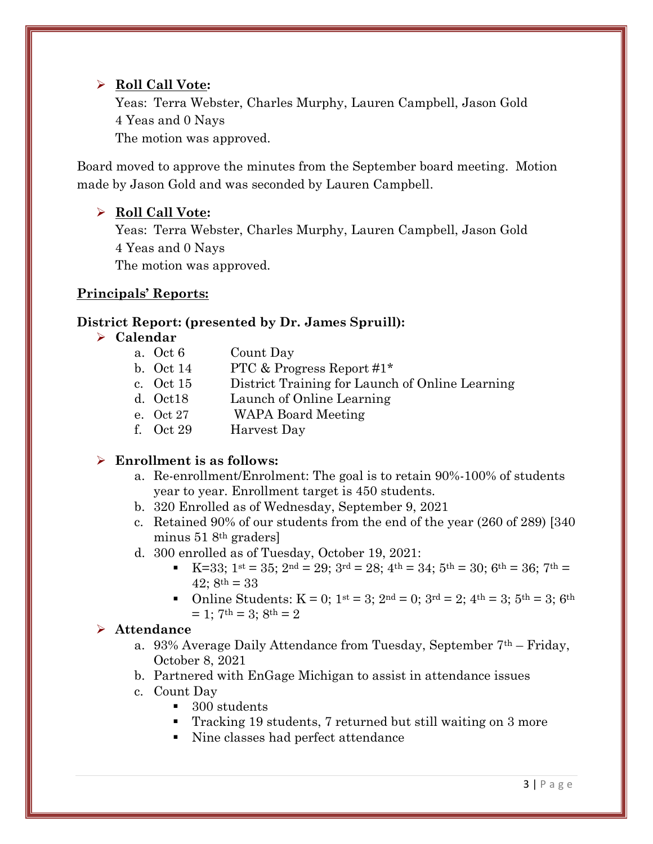### ➢ **Roll Call Vote:**

Yeas: Terra Webster, Charles Murphy, Lauren Campbell, Jason Gold 4 Yeas and 0 Nays

The motion was approved.

Board moved to approve the minutes from the September board meeting. Motion made by Jason Gold and was seconded by Lauren Campbell.

## ➢ **Roll Call Vote:**

Yeas: Terra Webster, Charles Murphy, Lauren Campbell, Jason Gold 4 Yeas and 0 Nays The motion was approved.

### **Principals' Reports:**

### **District Report: (presented by Dr. James Spruill):**

#### ➢ **Calendar**

| a. Oct 6  | Count Day                                       |
|-----------|-------------------------------------------------|
| b. Oct 14 | PTC & Progress Report $\#1^*$                   |
| c. Oct 15 | District Training for Launch of Online Learning |
| d. Oct18  | Launch of Online Learning                       |
| e. Oct 27 | <b>WAPA Board Meeting</b>                       |
| f. Oct 29 | Harvest Day                                     |

#### ➢ **Enrollment is as follows:**

- a. Re-enrollment/Enrolment: The goal is to retain 90%-100% of students year to year. Enrollment target is 450 students.
- b. 320 Enrolled as of Wednesday, September 9, 2021
- c. Retained 90% of our students from the end of the year (260 of 289) [340 minus 51 8th graders]
- d. 300 enrolled as of Tuesday, October 19, 2021:
	- **EXECUTE:** K=33;  $1^{st} = 35$ ;  $2^{nd} = 29$ ;  $3^{rd} = 28$ ;  $4^{th} = 34$ ;  $5^{th} = 30$ ;  $6^{th} = 36$ ;  $7^{th} =$  $42: 8<sup>th</sup> = 33$
	- Online Students:  $K = 0$ ;  $1^{st} = 3$ ;  $2^{nd} = 0$ ;  $3^{rd} = 2$ ;  $4^{th} = 3$ ;  $5^{th} = 3$ ;  $6^{th}$  $= 1$ ;  $7<sup>th</sup> = 3$ ;  $8<sup>th</sup> = 2$

#### ➢ **Attendance**

- a. 93% Average Daily Attendance from Tuesday, September  $7<sup>th</sup>$  Friday, October 8, 2021
- b. Partnered with EnGage Michigan to assist in attendance issues
- c. Count Day
	- 300 students
	- Tracking 19 students, 7 returned but still waiting on 3 more
	- Nine classes had perfect attendance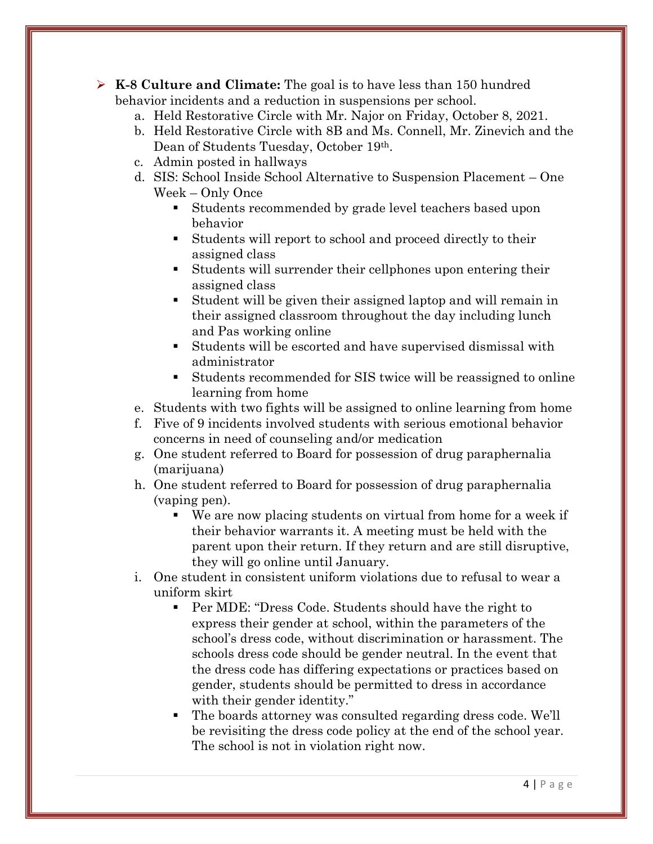- ➢ **K-8 Culture and Climate:** The goal is to have less than 150 hundred behavior incidents and a reduction in suspensions per school.
	- a. Held Restorative Circle with Mr. Najor on Friday, October 8, 2021.
	- b. Held Restorative Circle with 8B and Ms. Connell, Mr. Zinevich and the Dean of Students Tuesday, October 19th.
	- c. Admin posted in hallways
	- d. SIS: School Inside School Alternative to Suspension Placement One Week – Only Once
		- Students recommended by grade level teachers based upon behavior
		- Students will report to school and proceed directly to their assigned class
		- Students will surrender their cellphones upon entering their assigned class
		- Student will be given their assigned laptop and will remain in their assigned classroom throughout the day including lunch and Pas working online
		- Students will be escorted and have supervised dismissal with administrator
		- Students recommended for SIS twice will be reassigned to online learning from home
	- e. Students with two fights will be assigned to online learning from home
	- f. Five of 9 incidents involved students with serious emotional behavior concerns in need of counseling and/or medication
	- g. One student referred to Board for possession of drug paraphernalia (marijuana)
	- h. One student referred to Board for possession of drug paraphernalia (vaping pen).
		- We are now placing students on virtual from home for a week if their behavior warrants it. A meeting must be held with the parent upon their return. If they return and are still disruptive, they will go online until January.
	- i. One student in consistent uniform violations due to refusal to wear a uniform skirt
		- Per MDE: "Dress Code. Students should have the right to express their gender at school, within the parameters of the school's dress code, without discrimination or harassment. The schools dress code should be gender neutral. In the event that the dress code has differing expectations or practices based on gender, students should be permitted to dress in accordance with their gender identity."
		- The boards attorney was consulted regarding dress code. We'll be revisiting the dress code policy at the end of the school year. The school is not in violation right now.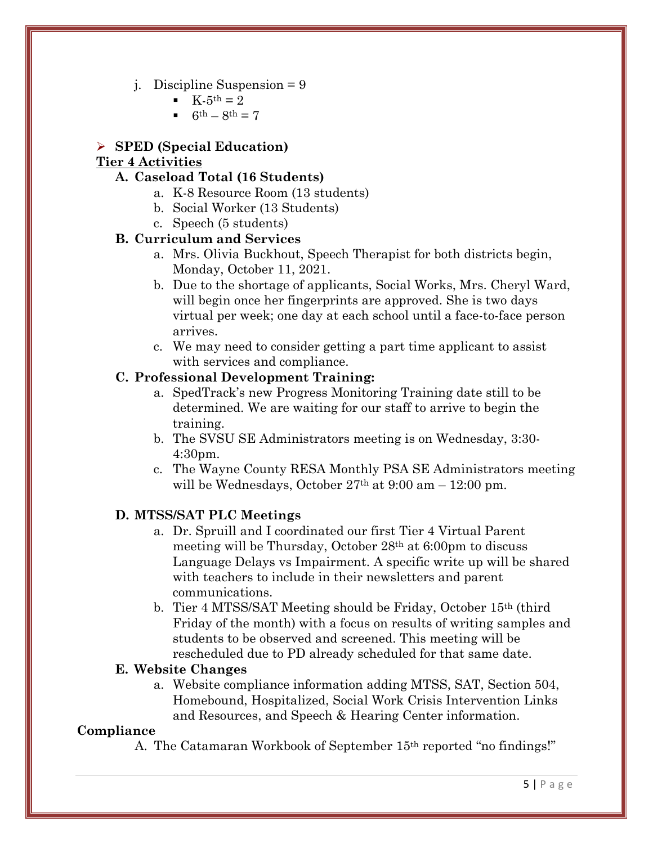- j. Discipline Suspension = 9
	- $K-5^{th} = 2$
	- $6th 8th = 7$

#### ➢ **SPED (Special Education)**

#### **Tier 4 Activities**

#### **A. Caseload Total (16 Students)**

- a. K-8 Resource Room (13 students)
- b. Social Worker (13 Students)
- c. Speech (5 students)

#### **B. Curriculum and Services**

- a. Mrs. Olivia Buckhout, Speech Therapist for both districts begin, Monday, October 11, 2021.
- b. Due to the shortage of applicants, Social Works, Mrs. Cheryl Ward, will begin once her fingerprints are approved. She is two days virtual per week; one day at each school until a face-to-face person arrives.
- c. We may need to consider getting a part time applicant to assist with services and compliance.

#### **C. Professional Development Training:**

- a. SpedTrack's new Progress Monitoring Training date still to be determined. We are waiting for our staff to arrive to begin the training.
- b. The SVSU SE Administrators meeting is on Wednesday, 3:30- 4:30pm.
- c. The Wayne County RESA Monthly PSA SE Administrators meeting will be Wednesdays, October  $27<sup>th</sup>$  at  $9:00$  am  $-12:00$  pm.

# **D. MTSS/SAT PLC Meetings**

- a. Dr. Spruill and I coordinated our first Tier 4 Virtual Parent meeting will be Thursday, October 28th at 6:00pm to discuss Language Delays vs Impairment. A specific write up will be shared with teachers to include in their newsletters and parent communications.
- b. Tier 4 MTSS/SAT Meeting should be Friday, October 15th (third Friday of the month) with a focus on results of writing samples and students to be observed and screened. This meeting will be rescheduled due to PD already scheduled for that same date.

#### **E. Website Changes**

a. Website compliance information adding MTSS, SAT, Section 504, Homebound, Hospitalized, Social Work Crisis Intervention Links and Resources, and Speech & Hearing Center information.

#### **Compliance**

A. The Catamaran Workbook of September 15th reported "no findings!"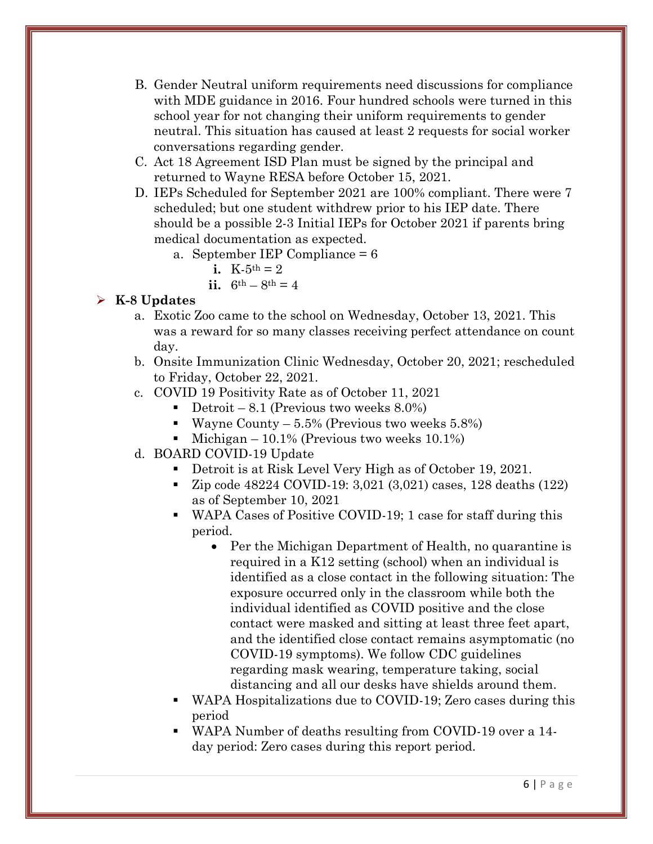- B. Gender Neutral uniform requirements need discussions for compliance with MDE guidance in 2016. Four hundred schools were turned in this school year for not changing their uniform requirements to gender neutral. This situation has caused at least 2 requests for social worker conversations regarding gender.
- C. Act 18 Agreement ISD Plan must be signed by the principal and returned to Wayne RESA before October 15, 2021.
- D. IEPs Scheduled for September 2021 are 100% compliant. There were 7 scheduled; but one student withdrew prior to his IEP date. There should be a possible 2-3 Initial IEPs for October 2021 if parents bring medical documentation as expected.
	- a. September IEP Compliance = 6
		- **i.**  $K-5^{th} = 2$
		- **ii.**  $6^{th} 8^{th} = 4$

# ➢ **K-8 Updates**

- a. Exotic Zoo came to the school on Wednesday, October 13, 2021. This was a reward for so many classes receiving perfect attendance on count day.
- b. Onsite Immunization Clinic Wednesday, October 20, 2021; rescheduled to Friday, October 22, 2021.
- c. COVID 19 Positivity Rate as of October 11, 2021
	- Detroit  $8.1$  (Previous two weeks  $8.0\%$ )
	- **•** Wayne County  $-5.5\%$  (Previous two weeks 5.8%)
	- Einer Michigan 10.1% (Previous two weeks  $10.1\%$ )
- d. BOARD COVID-19 Update
	- Detroit is at Risk Level Very High as of October 19, 2021.
	- Zip code 48224 COVID-19: 3,021 (3,021) cases, 128 deaths (122) as of September 10, 2021
	- WAPA Cases of Positive COVID-19; 1 case for staff during this period.
		- Per the Michigan Department of Health, no quarantine is required in a K12 setting (school) when an individual is identified as a close contact in the following situation: The exposure occurred only in the classroom while both the individual identified as COVID positive and the close contact were masked and sitting at least three feet apart, and the identified close contact remains asymptomatic (no COVID-19 symptoms). We follow CDC guidelines regarding mask wearing, temperature taking, social distancing and all our desks have shields around them.
	- WAPA Hospitalizations due to COVID-19; Zero cases during this period
	- WAPA Number of deaths resulting from COVID-19 over a 14day period: Zero cases during this report period.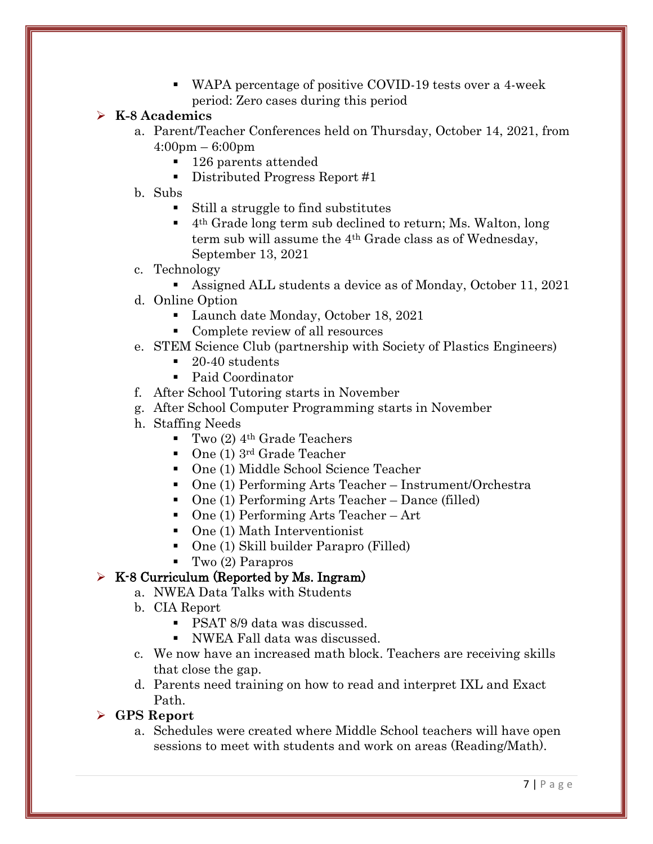WAPA percentage of positive COVID-19 tests over a 4-week period: Zero cases during this period

### ➢ **K-8 Academics**

- a. Parent/Teacher Conferences held on Thursday, October 14, 2021, from 4:00pm – 6:00pm
	- 126 parents attended
	- Distributed Progress Report #1
- b. Subs
	- Still a struggle to find substitutes
	- 4th Grade long term sub declined to return; Ms. Walton, long term sub will assume the 4th Grade class as of Wednesday, September 13, 2021
- c. Technology
	- Assigned ALL students a device as of Monday, October 11, 2021
- d. Online Option
	- Launch date Monday, October 18, 2021
	- Complete review of all resources
- e. STEM Science Club (partnership with Society of Plastics Engineers)
	- 20-40 students
	- Paid Coordinator
- f. After School Tutoring starts in November
- g. After School Computer Programming starts in November
- h. Staffing Needs
	- $\blacksquare$  Two (2) 4<sup>th</sup> Grade Teachers
	- One (1) 3<sup>rd</sup> Grade Teacher
	- One (1) Middle School Science Teacher
	- One (1) Performing Arts Teacher Instrument/Orchestra
	- One (1) Performing Arts Teacher Dance (filled)
	- One (1) Performing Arts Teacher Art
	- One (1) Math Interventionist
	- One (1) Skill builder Parapro (Filled)
	- Two (2) Parapros

## $\triangleright$  K-8 Curriculum (Reported by Ms. Ingram)

- a. NWEA Data Talks with Students
- b. CIA Report
	- PSAT 8/9 data was discussed.
	- NWEA Fall data was discussed.
- c. We now have an increased math block. Teachers are receiving skills that close the gap.
- d. Parents need training on how to read and interpret IXL and Exact Path.

#### ➢ **GPS Report**

a. Schedules were created where Middle School teachers will have open sessions to meet with students and work on areas (Reading/Math).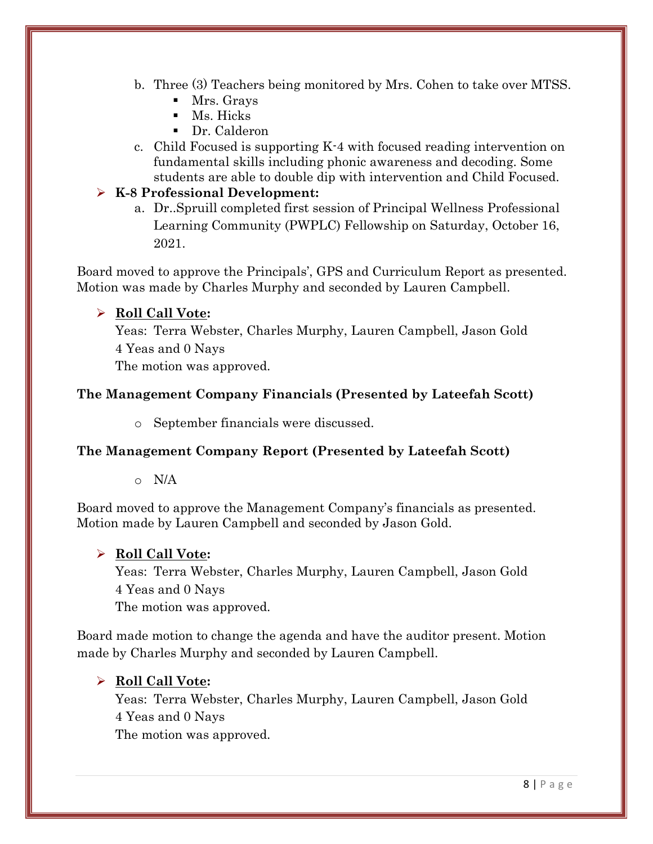- b. Three (3) Teachers being monitored by Mrs. Cohen to take over MTSS.
	- Mrs. Grays
	- Ms. Hicks
	- Dr. Calderon
- c. Child Focused is supporting K-4 with focused reading intervention on fundamental skills including phonic awareness and decoding. Some students are able to double dip with intervention and Child Focused.

## ➢ **K-8 Professional Development:**

a. Dr..Spruill completed first session of Principal Wellness Professional Learning Community (PWPLC) Fellowship on Saturday, October 16, 2021.

Board moved to approve the Principals', GPS and Curriculum Report as presented. Motion was made by Charles Murphy and seconded by Lauren Campbell.

## ➢ **Roll Call Vote:**

Yeas: Terra Webster, Charles Murphy, Lauren Campbell, Jason Gold 4 Yeas and 0 Nays

The motion was approved.

## **The Management Company Financials (Presented by Lateefah Scott)**

o September financials were discussed.

## **The Management Company Report (Presented by Lateefah Scott)**

o N/A

Board moved to approve the Management Company's financials as presented. Motion made by Lauren Campbell and seconded by Jason Gold.

## ➢ **Roll Call Vote:**

Yeas: Terra Webster, Charles Murphy, Lauren Campbell, Jason Gold 4 Yeas and 0 Nays The motion was approved.

Board made motion to change the agenda and have the auditor present. Motion made by Charles Murphy and seconded by Lauren Campbell.

## ➢ **Roll Call Vote:**

Yeas: Terra Webster, Charles Murphy, Lauren Campbell, Jason Gold 4 Yeas and 0 Nays

The motion was approved.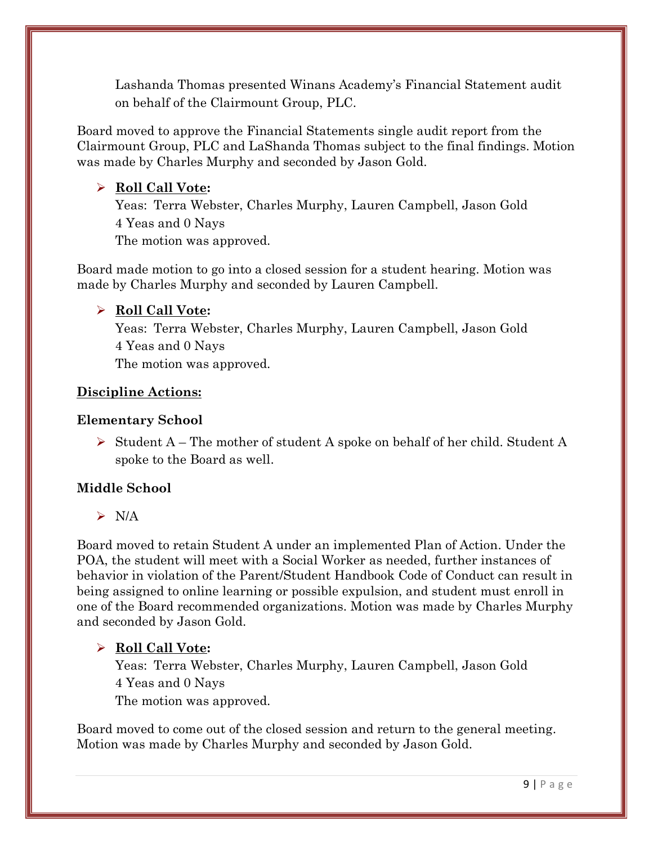Lashanda Thomas presented Winans Academy's Financial Statement audit on behalf of the Clairmount Group, PLC.

Board moved to approve the Financial Statements single audit report from the Clairmount Group, PLC and LaShanda Thomas subject to the final findings. Motion was made by Charles Murphy and seconded by Jason Gold.

# ➢ **Roll Call Vote:**

Yeas: Terra Webster, Charles Murphy, Lauren Campbell, Jason Gold 4 Yeas and 0 Nays The motion was approved.

Board made motion to go into a closed session for a student hearing. Motion was made by Charles Murphy and seconded by Lauren Campbell.

# ➢ **Roll Call Vote:**

Yeas: Terra Webster, Charles Murphy, Lauren Campbell, Jason Gold 4 Yeas and 0 Nays The motion was approved.

## **Discipline Actions:**

### **Elementary School**

➢ Student A – The mother of student A spoke on behalf of her child. Student A spoke to the Board as well.

## **Middle School**

➢ N/A

Board moved to retain Student A under an implemented Plan of Action. Under the POA, the student will meet with a Social Worker as needed, further instances of behavior in violation of the Parent/Student Handbook Code of Conduct can result in being assigned to online learning or possible expulsion, and student must enroll in one of the Board recommended organizations. Motion was made by Charles Murphy and seconded by Jason Gold.

## ➢ **Roll Call Vote:**

Yeas: Terra Webster, Charles Murphy, Lauren Campbell, Jason Gold 4 Yeas and 0 Nays The motion was approved.

Board moved to come out of the closed session and return to the general meeting. Motion was made by Charles Murphy and seconded by Jason Gold.